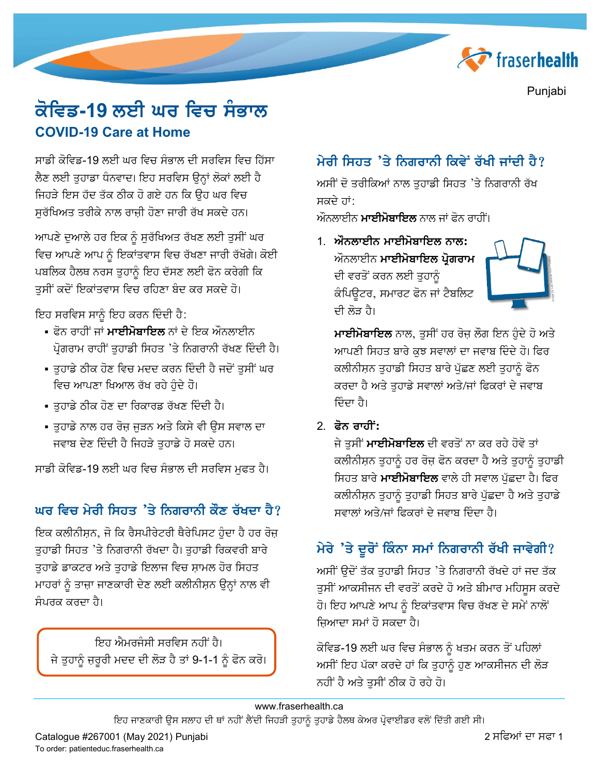

Punjabi

# ਕੋਵਿਡ-19 ਲਈ ਘਰ ਵਿਚ ਸੰਭਾਲ **COVID-19 Care at Home**

ਸਾਡੀ ਕੋਵਿਡ-19 ਲਈ ਘਰ ਵਿਚ ਸੰਭਾਲ ਦੀ ਸਰਵਿਸ ਵਿਚ ਹਿੱਸਾ ਲੈਣ ਲਈ ਤਹਾਡਾ ਧੰਨਵਾਦ। ਇਹ ਸਰਵਿਸ ੳਨ੍ਹਾਂ ਲੋਕਾਂ ਲਈ ਹੈ ਜਿਹੜੇ ਇਸ ਹੱਦ ਤੱਕ ਠੀਕ ਹੋ ਗਏ ਹਨ ਕਿ ਉਹ ਘਰ ਵਿਚ ਸਰੱਖਿਅਤ ਤਰੀਕੇ ਨਾਲ ਰਾਜੀ ਹੋਣਾ ਜਾਰੀ ਰੱਖ ਸਕਦੇ ਹਨ।

ਆਪਣੇ ਦੁਆਲੇ ਹਰ ਇਕ ਨੂੰ ਸੁਰੱਖਿਅਤ ਰੱਖਣ ਲਈ ਤੁਸੀਂ ਘਰ ਵਿਚ ਆਪਣੇ ਆਪ ਨੂੰ ਇਕਾਂਤਵਾਸ ਵਿਚ ਰੱਖਣਾ ਜਾਰੀ ਰੱਖੋਗੇ। ਕੋਈ ਪਬਲਿਕ ਹੈਲਥ ਨਰਸ ਤੁਹਾਨੂੰ ਇਹ ਦੱਸਣ ਲਈ ਫੋਨ ਕਰੇਗੀ ਕਿ ਤੁਸੀਂ ਕਦੋਂ ਇਕਾਂਤਵਾਸ ਵਿਚ ਰਹਿਣਾ ਬੰਦ ਕਰ ਸਕਦੇ ਹੋ।

ਇਹ ਸਰਵਿਸ ਸਾਨੂੰ ਇਹ ਕਰਨ ਦਿੰਦੀ ਹੈ:

- ∙ ਫ਼ੋਨ ਰਾਹੀਂ ਜਾਂ **ਮਾਈਮੋਬਾਇਲ** ਨਾਂ ਦੇ ਇਕ ਔਨਲਾਈਨ ਪ੍ਰੋਗਰਾਮ ਰਾਹੀਂ ਤੁਹਾਡੀ ਸਿਹਤ 'ਤੇ ਨਿਗਰਾਨੀ ਰੱਖਣ ਦਿੰਦੀ ਹੈ।
- ਤੁਹਾਡੇ ਠੀਕ ਹੋਣ ਵਿਚ ਮਦਦ ਕਰਨ ਦਿੰਦੀ ਹੈ ਜਦੋਂ ਤੁਸੀਂ ਘਰ ਵਿਚ ਆਪਣਾ ਖਿਆਲ ਰੱਖ ਰਹੇ ਹੁੰਦੇ ਹੋ।
- ਤੁਹਾਡੇ ਠੀਕ ਹੋਣ ਦਾ ਰਿਕਾਰਡ ਰੱਖਣ ਦਿੰਦੀ ਹੈ।
- ਤਹਾਡੇ ਨਾਲ ਹਰ ਰੋਜ ਜੜਨ ਅਤੇ ਕਿਸੇ ਵੀ ੳਸ ਸਵਾਲ ਦਾ ਜਵਾਬ ਦੇਣ ਦਿੰਦੀ ਹੈ ਜਿਹੜੇ ਤੁਹਾਡੇ ਹੋ ਸਕਦੇ ਹਨ।

ਸਾਡੀ ਕੋਵਿਡ-19 ਲਈ ਘਰ ਵਿਚ ਸੰਭਾਲ ਦੀ ਸਰਵਿਸ ਮੁਫਤ ਹੈ।

### ਘਰ ਵਿਚ ਮੇਰੀ ਸਿਹਤ 'ਤੇ ਨਿਗਰਾਨੀ ਕੌਣ ਰੱਖਦਾ ਹੈ?

ਇਕ ਕਲੀਨੀਸ਼ਨ, ਜੋ ਕਿ ਰੈਸਪੀਰੇਟਰੀ ਥੈਰੇਪਿਸਟ ਹੰਦਾ ਹੈ ਹਰ ਰੋਜ ਤਹਾਡੀ ਸਿਹਤ 'ਤੇ ਨਿਗਰਾਨੀ ਰੱਖਦਾ ਹੈ। ਤਹਾਡੀ ਰਿਕਵਰੀ ਬਾਰੇ ਤੁਹਾਡੇ ਡਾਕਟਰ ਅਤੇ ਤੁਹਾਡੇ ਇਲਾਜ ਵਿਚ ਸ਼ਾਮਲ ਹੋਰ ਸਿਹਤ ਮਾਹਰਾਂ ਨੂੰ ਤਾਜ਼ਾ ਜਾਣਕਾਰੀ ਦੇਣ ਲਈ ਕਲੀਨੀਸ਼ਨ ਉਨ੍ਹਾਂ ਨਾਲ ਵੀ ਸੰਪਰਕ ਕਰਦਾ ਹੈ।

ਇਹ ਐਮਰਜੈਸੀ ਸਰਵਿਸ ਨਹੀਂ ਹੈ। ਜੇ ਤੁਹਾਨੂੰ ਜ਼ਰੂਰੀ ਮਦਦ ਦੀ ਲੋੜ ਹੈ ਤਾਂ 9-1-1 ਨੂੰ ਫੋਨ ਕਰੋ।

## ਮੇਰੀ ਸਿਹਤ 'ਤੇ ਨਿਗਰਾਨੀ ਕਿਵੇਂ ਰੱਖੀ ਜਾਂਦੀ ਹੈ?

ਅਸੀਂ ਦੋ ਤਰੀਕਿਆਂ ਨਾਲ ਤਹਾਡੀ ਸਿਹਤ 'ਤੇ ਨਿਗਰਾਨੀ ਰੱਖ ਸਕਦੇ ਹਾਂ:

ਔਨਲਾਈਨ **ਮਾਈਮੋਬਾਇਲ** ਨਾਲ ਜਾਂ ਫੋਨ ਰਾਹੀਂ।

1. ਔਨਲਾਈਨ ਮਾਈਮੋਬਾਇਲ ਨਾਲ: ਔਨਲਾਈਨ **ਮਾਈਮੋਬਾਇਲ ਪ੍ਰੋਗਰਾਮ** ਦੀ ਵਰਤੋਂ ਕਰਨ ਲਈ ਤੁਹਾਨੂੰ ਕੰਪਿਊਟਰ, ਸਮਾਰਟ ਫੋਨ ਜਾਂ ਟੈਬਲਿਟ ਦੀ ਲੋਤ ਹੈ।



**ਮਾਈਮੋਬਾਇਲ** ਨਾਲ, ਤੁਸੀਂ ਹਰ ਰੋਜ਼ ਲੌਗ ਇਨ ਹੁੰਦੇ ਹੋ ਅਤੇ ਆਪਣੀ ਸਿਹਤ ਬਾਰੇ ਕੁਝ ਸਵਾਲਾਂ ਦਾ ਜਵਾਬ ਦਿੰਦੇ ਹੋ। ਫਿਰ ਕਲੀਨੀਸ਼ਨ ਤੁਹਾਡੀ ਸਿਹਤ ਬਾਰੇ ਪੁੱਛਣ ਲਈ ਤੁਹਾਨੂੰ ਫੋਨ ਕਰਦਾ ਹੈ ਅਤੇ ਤੁਹਾਡੇ ਸਵਾਲਾਂ ਅਤੇ/ਜਾਂ ਫਿਕਰਾਂ ਦੇ ਜਵਾਬ ਦਿੰਦਾ ਹੈ।

2. ਫੋਨ ਰਾਹੀਂ:

ਜੇ ਤੁਸੀਂ **ਮਾਈਮੋਬਾਇਲ** ਦੀ ਵਰਤੋਂ ਨਾ ਕਰ ਰਹੇ ਹੋਵੋ ਤਾਂ ਕਲੀਨੀਸ਼ਨ ਤੁਹਾਨੂੰ ਹਰ ਰੋਜ਼ ਫੋਨ ਕਰਦਾ ਹੈ ਅਤੇ ਤੁਹਾਨੂੰ ਤੁਹਾਡੀ ਸਿਹਤ ਬਾਰੇ **ਮਾਈਮੋਬਾਇਲ** ਵਾਲੇ ਹੀ ਸਵਾਲ ਪੁੱਛਦਾ ਹੈ। ਫਿਰ ਕਲੀਨੀਸ਼ਨ ਤੁਹਾਨੂੰ ਤੁਹਾਡੀ ਸਿਹਤ ਬਾਰੇ ਪੁੱਛਦਾ ਹੈ ਅਤੇ ਤੁਹਾਡੇ ਸਵਾਲਾਂ ਅਤੇ/ਜਾਂ ਫਿਕਰਾਂ ਦੇ ਜਵਾਬ ਦਿੰਦਾ ਹੈ।

## ਮੇਰੇ 'ਤੇ ਦੂਰੋਂ ਕਿੰਨਾ ਸਮਾਂ ਨਿਗਰਾਨੀ ਰੱਖੀ ਜਾਵੇਗੀ?

ਅਸੀਂ ਉਦੋਂ ਤੱਕ ਤੁਹਾਡੀ ਸਿਹਤ 'ਤੇ ਨਿਗਰਾਨੀ ਰੱਖਦੇ ਹਾਂ ਜਦ ਤੱਕ ਤਸੀਂ ਆਕਸੀਜਨ ਦੀ ਵਰਤੋਂ ਕਰਦੇ ਹੋ ਅਤੇ ਬੀਮਾਰ ਮਹਿਸਸ ਕਰਦੇ ਹੋ। ਇਹ ਆਪਣੇ ਆਪ ਨੂੰ ਇਕਾਂਤਵਾਸ ਵਿਚ ਰੱਖਣ ਦੇ ਸਮੇਂ ਨਾਲੋਂ ਜ਼ਿਆਦਾ ਸਮਾਂ ਹੋ ਸਕਦਾ ਹੈ।

ਕੋਵਿਡ-19 ਲਈ ਘਰ ਵਿਚ ਸੰਭਾਲ ਨੂੰ ਖਤਮ ਕਰਨ ਤੋਂ ਪਹਿਲਾਂ ਅਸੀਂ ਇਹ ਪੱਕਾ ਕਰਦੇ ਹਾਂ ਕਿ ਤੁਹਾਨੂੰ ਹੁਣ ਆਕਸੀਜਨ ਦੀ ਲੋੜ ਨਹੀਂ ਹੈ ਅਤੇ ਤੁਸੀਂ ਠੀਕ ਹੋ ਰਹੇ ਹੋ।

ਇਹ ਜਾਣਕਾਰੀ ਉਸ ਸਲਾਹ ਦੀ ਥਾਂ ਨਹੀਂ ਲੈਂਦੀ ਜਿਹੜੀ ਤੁਹਾਨੂੰ ਤੁਹਾਡੇ ਹੈਲਥ ਕੇਅਰ ਪ੍ਰੋਵਾਈਡਰ ਵਲੋਂ ਦਿੱਤੀ ਗਈ ਸੀ।